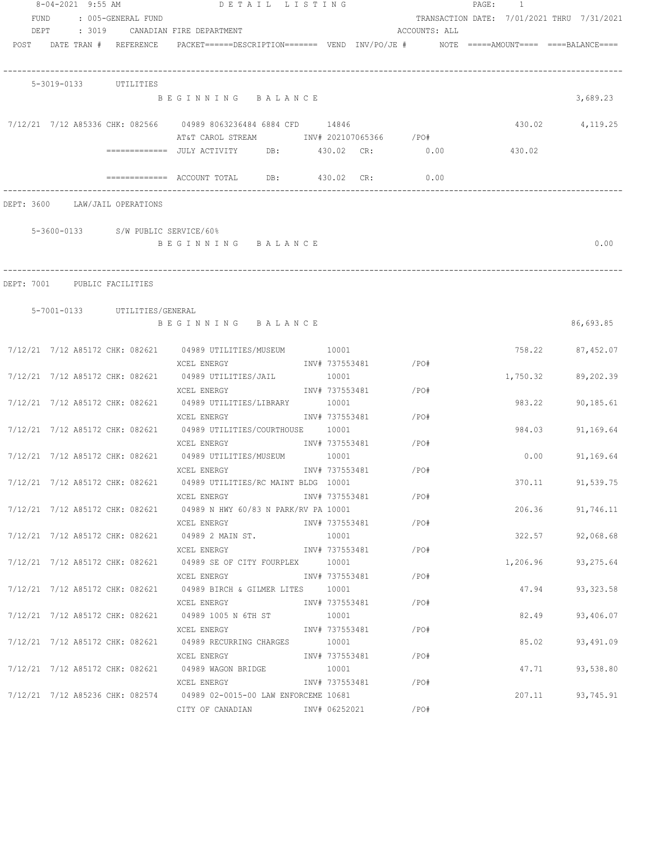|              |                                    | 8-04-2021 9:55 AM DETAIL LISTING                                                                             |       |                         |               | PAGE: 1                                    |                  |
|--------------|------------------------------------|--------------------------------------------------------------------------------------------------------------|-------|-------------------------|---------------|--------------------------------------------|------------------|
| FUND<br>DEPT | : 005-GENERAL FUND                 | : 3019 CANADIAN FIRE DEPARTMENT                                                                              |       |                         | ACCOUNTS: ALL | TRANSACTION DATE: 7/01/2021 THRU 7/31/2021 |                  |
|              | POST DATE TRAN # REFERENCE         | PACKET======DESCRIPTION======= VEND INV/PO/JE # NOTE =====AMOUNT==== ====BALANCE====                         |       |                         |               |                                            |                  |
|              | 5-3019-0133 UTILITIES              |                                                                                                              |       |                         |               |                                            |                  |
|              |                                    | BEGINNING BALANCE                                                                                            |       |                         |               |                                            | 3,689.23         |
|              |                                    | 7/12/21 7/12 A85336 CHK: 082566 04989 8063236484 6884 CFD 14846<br>AT&T CAROL STREAM 1NV# 202107065366 / PO# |       |                         |               |                                            | 430.02 4,119.25  |
|              |                                    |                                                                                                              |       |                         |               | 430.02                                     |                  |
|              |                                    |                                                                                                              |       |                         | 0.00          |                                            |                  |
|              | DEPT: 3600 LAW/JAIL OPERATIONS     |                                                                                                              |       |                         |               |                                            |                  |
|              | 5-3600-0133 S/W PUBLIC SERVICE/60% |                                                                                                              |       |                         |               |                                            |                  |
|              |                                    | BEGINNING BALANCE                                                                                            |       |                         |               |                                            | 0.00             |
|              |                                    |                                                                                                              |       |                         |               |                                            |                  |
|              | DEPT: 7001 PUBLIC FACILITIES       |                                                                                                              |       |                         |               |                                            |                  |
|              |                                    |                                                                                                              |       |                         |               |                                            |                  |
|              | 5-7001-0133 UTILITIES/GENERAL      |                                                                                                              |       |                         |               |                                            |                  |
|              |                                    | BEGINNING BALANCE                                                                                            |       |                         |               |                                            | 86,693.85        |
|              |                                    | 7/12/21 7/12 A85172 CHK: 082621 04989 UTILITIES/MUSEUM 10001                                                 |       |                         |               |                                            | 758.22 87,452.07 |
|              |                                    | XCEL ENERGY                                                                                                  |       | INV# 737553481 /PO#     |               |                                            |                  |
|              |                                    | 7/12/21  7/12  A85172  CHK:  082621   04989  UTILITIES/JAIL                                                  | 10001 |                         |               | 1,750.32                                   | 89,202.39        |
|              |                                    | XCEL ENERGY                                                                                                  |       | INV# 737553481 / PO#    |               |                                            |                  |
|              |                                    | 7/12/21  7/12  A85172  CHK: 082621  04989  UTILITIES/LIBRARY                                                 | 10001 |                         |               | 983.22                                     | 90,185.61        |
|              |                                    | XCEL ENERGY                                                                                                  |       | INV# 737553481 / PO#    |               |                                            |                  |
|              |                                    | 7/12/21  7/12  A85172  CHK: 082621  04989  UTILITIES/COURTHOUSE  10001                                       |       |                         |               | 984.03                                     | 91,169.64        |
|              |                                    | XCEL ENERGY                                                                                                  |       | INV# 737553481 / PO#    |               |                                            |                  |
|              |                                    | 7/12/21 7/12 A85172 CHK: 082621 04989 UTILITIES/MUSEUM 10001                                                 |       |                         |               | 0.00                                       | 91,169.64        |
|              |                                    | XCEL ENERGY                                                                                                  |       | INV# 737553481          | $/$ PO#       |                                            |                  |
|              |                                    | 7/12/21 7/12 A85172 CHK: 082621 04989 UTILITIES/RC MAINT BLDG 10001                                          |       |                         |               | 370.11                                     | 91,539.75        |
|              |                                    | XCEL ENERGY                                                                                                  |       | INV# 737553481          | /PO#          |                                            |                  |
|              |                                    | 7/12/21 7/12 A85172 CHK: 082621 04989 N HWY 60/83 N PARK/RV PA 10001                                         |       |                         |               | 206.36                                     | 91,746.11        |
|              |                                    | XCEL ENERGY                                                                                                  |       | INV# 737553481          | /PO#          |                                            |                  |
|              |                                    | 7/12/21 7/12 A85172 CHK: 082621 04989 2 MAIN ST.                                                             |       | 10001                   |               | 322.57                                     | 92,068.68        |
|              |                                    | XCEL ENERGY                                                                                                  |       | INV# 737553481          | /PO#          |                                            |                  |
|              |                                    | 7/12/21 7/12 A85172 CHK: 082621 04989 SE OF CITY FOURPLEX                                                    |       | 10001                   |               | 1,206.96                                   | 93,275.64        |
|              |                                    | XCEL ENERGY<br>7/12/21 7/12 A85172 CHK: 082621 04989 BIRCH & GILMER LITES                                    |       | INV# 737553481<br>10001 | /PO#          | 47.94                                      | 93, 323.58       |
|              |                                    | XCEL ENERGY                                                                                                  |       | INV# 737553481          | /PO#          |                                            |                  |
|              |                                    | 7/12/21 7/12 A85172 CHK: 082621 04989 1005 N 6TH ST                                                          |       | 10001                   |               | 82.49                                      | 93,406.07        |
|              |                                    | XCEL ENERGY                                                                                                  |       | INV# 737553481          | /PO#          |                                            |                  |
|              |                                    | 7/12/21 7/12 A85172 CHK: 082621 04989 RECURRING CHARGES 10001                                                |       |                         |               | 85.02                                      | 93,491.09        |
|              |                                    | XCEL ENERGY                                                                                                  |       | INV# 737553481          | /PO#          |                                            |                  |
|              |                                    | 7/12/21  7/12  A85172  CHK: 082621  04989  WAGON BRIDGE                                                      | 10001 |                         |               | 47.71                                      | 93,538.80        |
|              |                                    | XCEL ENERGY                                                                                                  |       | INV# 737553481 /PO#     |               |                                            |                  |
|              |                                    | 7/12/21 7/12 A85236 CHK: 082574 04989 02-0015-00 LAW ENFORCEME 10681                                         |       |                         |               | 207.11                                     | 93,745.91        |
|              |                                    | CITY OF CANADIAN INV# 06252021                                                                               |       |                         | /PO#          |                                            |                  |
|              |                                    |                                                                                                              |       |                         |               |                                            |                  |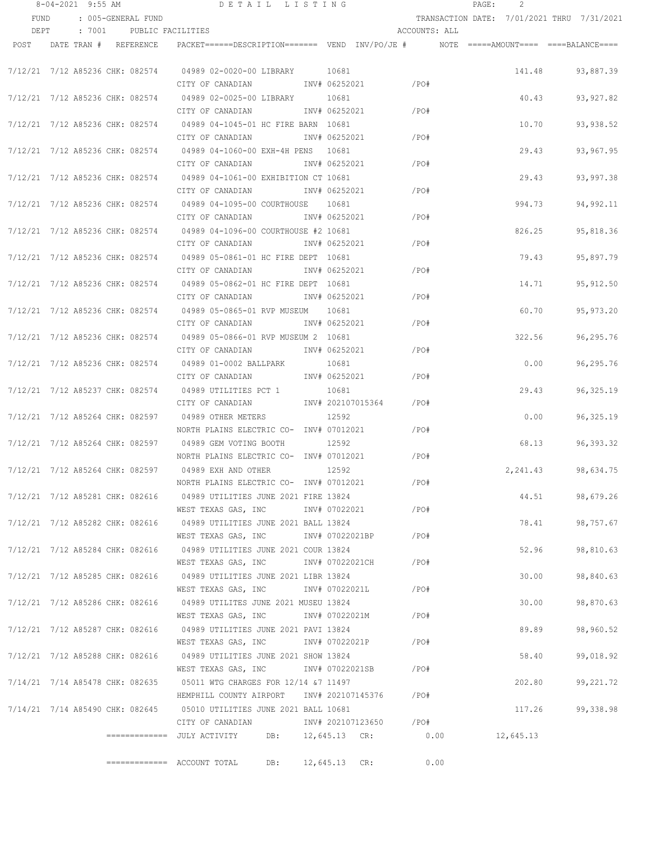|      | 8-04-2021 9:55 AM |                                 | DETAIL LISTING                                                                                     |                 |                        |               | $\mathtt{PAGE}$ : | 2         |                                            |
|------|-------------------|---------------------------------|----------------------------------------------------------------------------------------------------|-----------------|------------------------|---------------|-------------------|-----------|--------------------------------------------|
| FUND |                   | : 005-GENERAL FUND              |                                                                                                    |                 |                        |               |                   |           | TRANSACTION DATE: 7/01/2021 THRU 7/31/2021 |
| DEPT |                   | : 7001 PUBLIC FACILITIES        |                                                                                                    |                 |                        | ACCOUNTS: ALL |                   |           |                                            |
|      |                   | POST DATE TRAN # REFERENCE      | PACKET======DESCRIPTION========  VEND  INV/PO/JE #          NOTE  =====AMOUNT====  ====BALANCE==== |                 |                        |               |                   |           |                                            |
|      |                   |                                 |                                                                                                    |                 |                        |               |                   |           |                                            |
|      |                   |                                 | 7/12/21 7/12 A85236 CHK: 082574 04989 02-0020-00 LIBRARY 10681                                     |                 |                        |               |                   | 141.48    | 93,887.39                                  |
|      |                   |                                 | CITY OF CANADIAN<br>INV# 06252021                                                                  |                 | $/$ PO#                |               |                   |           |                                            |
|      |                   |                                 | 7/12/21 7/12 A85236 CHK: 082574 04989 02-0025-00 LIBRARY                                           | 10681           |                        |               |                   | 40.43     | 93, 927.82                                 |
|      |                   |                                 | CITY OF CANADIAN                                                                                   | INV# 06252021   |                        | /PO#          |                   |           |                                            |
|      |                   | 7/12/21 7/12 A85236 CHK: 082574 | 04989 04-1045-01 HC FIRE BARN 10681                                                                |                 |                        |               |                   | 10.70     | 93,938.52                                  |
|      |                   |                                 | CITY OF CANADIAN                                                                                   | INV# 06252021   |                        | /PO#          |                   |           |                                            |
|      |                   | 7/12/21 7/12 A85236 CHK: 082574 | 04989 04-1060-00 EXH-4H PENS 10681                                                                 |                 |                        |               |                   | 29.43     | 93,967.95                                  |
|      |                   |                                 | CITY OF CANADIAN                                                                                   | INV# 06252021   |                        | /PO#          |                   |           |                                            |
|      |                   | 7/12/21 7/12 A85236 CHK: 082574 | 04989 04-1061-00 EXHIBITION CT 10681                                                               |                 |                        |               |                   | 29.43     | 93,997.38                                  |
|      |                   |                                 | CITY OF CANADIAN                                                                                   | INV# 06252021   |                        | /PO#          |                   |           |                                            |
|      |                   | 7/12/21 7/12 A85236 CHK: 082574 | 04989 04-1095-00 COURTHOUSE 10681                                                                  |                 |                        |               |                   | 994.73    | 94,992.11                                  |
|      |                   |                                 | CITY OF CANADIAN                                                                                   | INV# 06252021   |                        | /PO#          |                   |           |                                            |
|      |                   |                                 | 7/12/21 7/12 A85236 CHK: 082574 04989 04-1096-00 COURTHOUSE #2 10681                               |                 |                        |               |                   | 826.25    | 95,818.36                                  |
|      |                   |                                 | CITY OF CANADIAN                                                                                   | INV# 06252021   |                        | /PO#          |                   |           |                                            |
|      |                   |                                 | 7/12/21 7/12 A85236 CHK: 082574 04989 05-0861-01 HC FIRE DEPT 10681                                |                 |                        |               |                   | 79.43     | 95,897.79                                  |
|      |                   |                                 | CITY OF CANADIAN                                                                                   | INV# 06252021   |                        | /PO#          |                   |           |                                            |
|      |                   |                                 | 7/12/21 7/12 A85236 CHK: 082574 04989 05-0862-01 HC FIRE DEPT 10681                                |                 |                        |               |                   | 14.71     | 95, 912.50                                 |
|      |                   |                                 | CITY OF CANADIAN                                                                                   | INV# 06252021   |                        | /PO#          |                   |           |                                            |
|      |                   |                                 | 7/12/21 7/12 A85236 CHK: 082574 04989 05-0865-01 RVP MUSEUM 10681                                  |                 |                        |               |                   | 60.70     | 95,973.20                                  |
|      |                   |                                 | CITY OF CANADIAN                                                                                   | INV# 06252021   |                        | /PO#          |                   |           |                                            |
|      |                   | 7/12/21 7/12 A85236 CHK: 082574 | 04989 05-0866-01 RVP MUSEUM 2 10681                                                                |                 |                        |               |                   | 322.56    | 96,295.76                                  |
|      |                   |                                 | CITY OF CANADIAN                                                                                   | INV# 06252021   |                        | /PO#          |                   |           |                                            |
|      |                   | 7/12/21 7/12 A85236 CHK: 082574 | 04989 01-0002 BALLPARK                                                                             | 10681           |                        |               |                   | 0.00      | 96,295.76                                  |
|      |                   |                                 | CITY OF CANADIAN                                                                                   | INV# 06252021   |                        | /PO#          |                   |           |                                            |
|      |                   | 7/12/21 7/12 A85237 CHK: 082574 | 04989 UTILITIES PCT 1                                                                              | 10681           |                        |               |                   | 29.43     | 96, 325.19                                 |
|      |                   |                                 | CITY OF CANADIAN                                                                                   |                 | INV# 202107015364      | /PO#          |                   |           |                                            |
|      |                   | 7/12/21 7/12 A85264 CHK: 082597 | 04989 OTHER METERS                                                                                 | 12592           |                        |               |                   | 0.00      | 96, 325.19                                 |
|      |                   |                                 | NORTH PLAINS ELECTRIC CO- INV# 07012021                                                            |                 |                        | /PO#          |                   |           |                                            |
|      |                   | 7/12/21 7/12 A85264 CHK: 082597 | 04989 GEM VOTING BOOTH                                                                             | 12592           |                        |               |                   | 68.13     | 96,393.32                                  |
|      |                   |                                 | NORTH PLAINS ELECTRIC CO- INV# 07012021                                                            |                 |                        | /PO#          |                   |           |                                            |
|      |                   | 7/12/21 7/12 A85264 CHK: 082597 | 04989 EXH AND OTHER                                                                                | 12592           |                        |               |                   | 2,241.43  | 98,634.75                                  |
|      |                   |                                 | NORTH PLAINS ELECTRIC CO- INV# 07012021                                                            |                 |                        | /PO#          |                   |           |                                            |
|      |                   |                                 | 7/12/21 7/12 A85281 CHK: 082616 04989 UTILITIES JUNE 2021 FIRE 13824                               |                 |                        |               |                   | 44.51     | 98,679.26                                  |
|      |                   |                                 | WEST TEXAS GAS, INC                                                                                | INV# 07022021   |                        | /PO#          |                   |           |                                            |
|      |                   |                                 | 7/12/21 7/12 A85282 CHK: 082616 04989 UTILITIES JUNE 2021 BALL 13824                               |                 |                        |               |                   | 78.41     | 98,757.67                                  |
|      |                   |                                 | WEST TEXAS GAS, INC                                                                                |                 | INV# 07022021BP        | /PO#          |                   |           |                                            |
|      |                   |                                 | 7/12/21 7/12 A85284 CHK: 082616 04989 UTILITIES JUNE 2021 COUR 13824                               |                 |                        |               |                   | 52.96     | 98,810.63                                  |
|      |                   |                                 | WEST TEXAS GAS, INC                                                                                | INV# 07022021CH |                        | /PO#          |                   |           |                                            |
|      |                   |                                 | 7/12/21 7/12 A85285 CHK: 082616 04989 UTILITIES JUNE 2021 LIBR 13824                               |                 |                        |               |                   | 30.00     | 98,840.63                                  |
|      |                   |                                 | WEST TEXAS GAS, INC                                                                                | INV# 07022021L  |                        | /PO#          |                   |           |                                            |
|      |                   |                                 | 7/12/21 7/12 A85286 CHK: 082616 04989 UTILITES JUNE 2021 MUSEU 13824                               |                 |                        |               |                   | 30.00     | 98,870.63                                  |
|      |                   |                                 | WEST TEXAS GAS, INC                                                                                | INV# 07022021M  |                        | /PO#          |                   |           |                                            |
|      |                   |                                 | 7/12/21 7/12 A85287 CHK: 082616 04989 UTILITIES JUNE 2021 PAVI 13824                               |                 |                        |               |                   | 89.89     | 98,960.52                                  |
|      |                   |                                 | WEST TEXAS GAS, INC                                                                                | INV# 07022021P  |                        | /PO#          |                   |           |                                            |
|      |                   | 7/12/21 7/12 A85288 CHK: 082616 | 04989 UTILITIES JUNE 2021 SHOW 13824                                                               |                 |                        |               |                   | 58.40     | 99,018.92                                  |
|      |                   |                                 | WEST TEXAS GAS, INC MONTH 07022021SB                                                               |                 |                        | /PO#          |                   |           |                                            |
|      |                   | 7/14/21 7/14 A85478 CHK: 082635 | 05011 WTG CHARGES FOR 12/14 &7 11497                                                               |                 |                        |               |                   | 202.80    | 99,221.72                                  |
|      |                   |                                 | HEMPHILL COUNTY AIRPORT INV# 202107145376 / PO#                                                    |                 |                        |               |                   |           |                                            |
|      |                   |                                 | 7/14/21 7/14 A85490 CHK: 082645 05010 UTILITIES JUNE 2021 BALL 10681                               |                 |                        |               |                   | 117.26    | 99,338.98                                  |
|      |                   |                                 | CITY OF CANADIAN                                                                                   |                 | INV# 202107123650 /PO# |               |                   |           |                                            |
|      |                   |                                 | =============  JULY ACTIVITY                                                                       |                 | DB: 12,645.13 CR: 0.00 |               |                   | 12,645.13 |                                            |
|      |                   |                                 |                                                                                                    |                 |                        |               |                   |           |                                            |
|      |                   |                                 | DB:<br>============= ACCOUNT TOTAL                                                                 | 12,645.13 CR:   |                        | 0.00          |                   |           |                                            |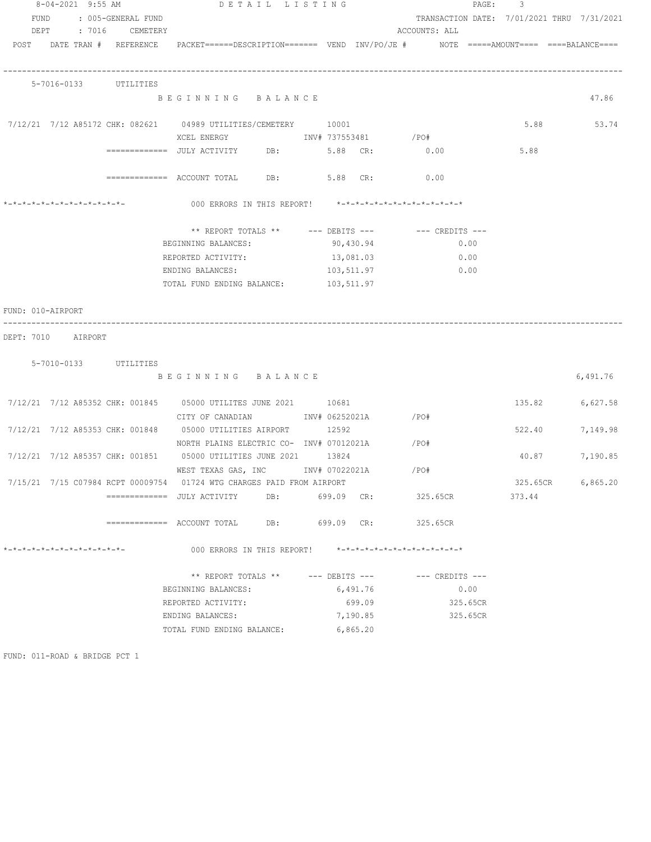|                   | 8-04-2021 9:55 AM            |  |  | DETAIL LISTING                                                                                                  |     |  | PAGE:                | 3                                                       |          |          |                                            |
|-------------------|------------------------------|--|--|-----------------------------------------------------------------------------------------------------------------|-----|--|----------------------|---------------------------------------------------------|----------|----------|--------------------------------------------|
|                   | FUND<br>: 005-GENERAL FUND   |  |  |                                                                                                                 |     |  |                      |                                                         |          |          | TRANSACTION DATE: 7/01/2021 THRU 7/31/2021 |
|                   | DEPT : 7016 CEMETERY         |  |  |                                                                                                                 |     |  |                      | ACCOUNTS: ALL                                           |          |          |                                            |
|                   |                              |  |  | POST DATE TRAN # REFERENCE PACKET======DESCRIPTION======= VEND INV/PO/JE # NOTE =====AMOUNT==== ====BALANCE==== |     |  |                      |                                                         |          |          |                                            |
|                   | 5-7016-0133 UTILITIES        |  |  |                                                                                                                 |     |  |                      |                                                         |          |          |                                            |
|                   |                              |  |  | BEGINNING BALANCE                                                                                               |     |  |                      |                                                         |          |          | 47.86                                      |
|                   |                              |  |  | 7/12/21 7/12 A85172 CHK: 082621 04989 UTILITIES/CEMETERY 10001                                                  |     |  |                      |                                                         |          |          | 5.88 53.74                                 |
|                   |                              |  |  |                                                                                                                 |     |  |                      |                                                         |          |          |                                            |
|                   |                              |  |  | ============ JULY ACTIVITY DB: 5.88 CR: 0.00                                                                    |     |  |                      |                                                         |          | 5.88     |                                            |
|                   |                              |  |  | ============ ACCOUNT TOTAL DB: 5.88 CR: 0.00                                                                    |     |  |                      |                                                         |          |          |                                            |
|                   | *-*-*-*-*-*-*-*-*-*-*-*-*-*- |  |  |                                                                                                                 |     |  |                      | 000 ERRORS IN THIS REPORT! *-*-*-*-*-*-*-*-*-*-*-*-*-*- |          |          |                                            |
|                   |                              |  |  |                                                                                                                 |     |  |                      |                                                         |          |          |                                            |
|                   |                              |  |  |                                                                                                                 |     |  |                      | ** REPORT TOTALS ** --- DEBITS --- -- CREDITS ---       |          |          |                                            |
|                   |                              |  |  | BEGINNING BALANCES:                                                                                             |     |  | 90,430.94            |                                                         | 0.00     |          |                                            |
|                   |                              |  |  | REPORTED ACTIVITY:                                                                                              |     |  | 13,081.03            |                                                         | 0.00     |          |                                            |
|                   |                              |  |  | ENDING BALANCES:                                                                                                |     |  | 103,511.97           |                                                         | 0.00     |          |                                            |
|                   |                              |  |  | TOTAL FUND ENDING BALANCE: 103,511.97                                                                           |     |  |                      |                                                         |          |          |                                            |
| FUND: 010-AIRPORT |                              |  |  |                                                                                                                 |     |  |                      |                                                         |          |          |                                            |
|                   |                              |  |  |                                                                                                                 |     |  |                      |                                                         |          |          |                                            |
|                   | DEPT: 7010 AIRPORT           |  |  |                                                                                                                 |     |  |                      |                                                         |          |          |                                            |
|                   |                              |  |  |                                                                                                                 |     |  |                      |                                                         |          |          |                                            |
|                   | 5-7010-0133 UTILITIES        |  |  |                                                                                                                 |     |  |                      |                                                         |          |          |                                            |
|                   |                              |  |  | BEGINNING BALANCE                                                                                               |     |  |                      |                                                         |          |          | 6,491.76                                   |
|                   |                              |  |  | 7/12/21 7/12 A85352 CHK: 001845 05000 UTILITES JUNE 2021 10681                                                  |     |  |                      |                                                         |          | 135.82   | 6,627.58                                   |
|                   |                              |  |  | CITY OF CANADIAN              INV# 06252021A               /PO#                                                 |     |  |                      |                                                         |          |          |                                            |
|                   |                              |  |  | 7/12/21 7/12 A85353 CHK: 001848 05000 UTILITIES AIRPORT 12592                                                   |     |  |                      |                                                         |          | 522.40   | 7,149.98                                   |
|                   |                              |  |  | NORTH PLAINS ELECTRIC CO- INV# 07012021A / PO#                                                                  |     |  |                      |                                                         |          |          |                                            |
|                   |                              |  |  | 7/12/21 7/12 A85357 CHK: 001851 05000 UTILITIES JUNE 2021 13824                                                 |     |  |                      |                                                         |          | 40.87    | 7,190.85                                   |
|                   |                              |  |  | WEST TEXAS GAS, INC METALLY 107022021A / PO#                                                                    |     |  |                      |                                                         |          |          |                                            |
|                   |                              |  |  | 7/15/21 7/15 C07984 RCPT 00009754 01724 WTG CHARGES PAID FROM AIRPORT                                           |     |  |                      |                                                         |          | 325.65CR | 6,865.20                                   |
|                   |                              |  |  | =============  JULY ACTIVITY                                                                                    | DB: |  | 699.09 CR:           | 325.65CR                                                |          | 373.44   |                                            |
|                   |                              |  |  | =============    ACCOUNT  TOTAL             DB:                     699.09      CR:                             |     |  |                      | 325.65CR                                                |          |          |                                            |
|                   | *-*-*-*-*-*-*-*-*-*-*-*-*-*- |  |  |                                                                                                                 |     |  |                      | 000 ERRORS IN THIS REPORT! *-*-*-*-*-*-*-*-*-*-*-*-*-*- |          |          |                                            |
|                   |                              |  |  |                                                                                                                 |     |  |                      |                                                         |          |          |                                            |
|                   |                              |  |  | ** REPORT TOTALS ** --- DEBITS ---                                                                              |     |  |                      | $---$ CREDITS $---$                                     |          |          |                                            |
|                   |                              |  |  | BEGINNING BALANCES:                                                                                             |     |  | 6,491.76             |                                                         | 0.00     |          |                                            |
|                   |                              |  |  | REPORTED ACTIVITY:                                                                                              |     |  | 699.09               |                                                         | 325.65CR |          |                                            |
|                   |                              |  |  | ENDING BALANCES:<br>TOTAL FUND ENDING BALANCE:                                                                  |     |  | 7,190.85<br>6,865.20 |                                                         | 325.65CR |          |                                            |

FUND: 011-ROAD & BRIDGE PCT 1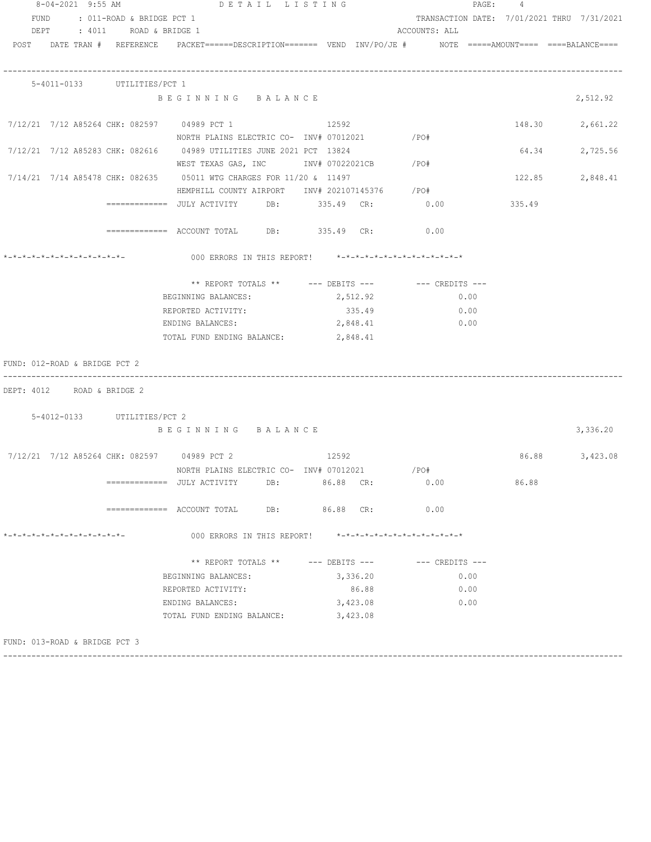| 8-04-2021 9:55 AM                                   |                             |                               | DETAIL LISTING                                                                                                  |                    |          |                                                                                                                                                                              |      | PAGE: 4 |                |
|-----------------------------------------------------|-----------------------------|-------------------------------|-----------------------------------------------------------------------------------------------------------------|--------------------|----------|------------------------------------------------------------------------------------------------------------------------------------------------------------------------------|------|---------|----------------|
| FUND                                                |                             | : 011-ROAD & BRIDGE PCT 1     |                                                                                                                 |                    |          | TRANSACTION DATE: 7/01/2021 THRU 7/31/2021                                                                                                                                   |      |         |                |
| DEPT : 4011 ROAD & BRIDGE 1                         |                             |                               |                                                                                                                 |                    |          | ACCOUNTS: ALL                                                                                                                                                                |      |         |                |
|                                                     |                             |                               | POST DATE TRAN # REFERENCE PACKET======DESCRIPTION======= VEND INV/PO/JE # NOTE =====AMOUNT==== ====BALANCE==== |                    |          |                                                                                                                                                                              |      |         |                |
|                                                     |                             |                               |                                                                                                                 |                    |          |                                                                                                                                                                              |      |         |                |
|                                                     |                             |                               |                                                                                                                 |                    |          |                                                                                                                                                                              |      |         |                |
|                                                     | 5-4011-0133 UTILITIES/PCT 1 |                               |                                                                                                                 |                    |          |                                                                                                                                                                              |      |         |                |
|                                                     |                             |                               | BEGINNING BALANCE                                                                                               |                    |          |                                                                                                                                                                              |      |         | 2,512.92       |
| 7/12/21 7/12 A85264 CHK: 082597 04989 PCT 1         |                             |                               |                                                                                                                 | 12592              |          |                                                                                                                                                                              |      | 148.30  | 2,661.22       |
|                                                     |                             |                               | NORTH PLAINS ELECTRIC CO- INV# 07012021 / PO#                                                                   |                    |          |                                                                                                                                                                              |      |         |                |
|                                                     |                             |                               | 7/12/21 7/12 A85283 CHK: 082616 04989 UTILITIES JUNE 2021 PCT 13824                                             |                    |          |                                                                                                                                                                              |      | 64.34   | 2,725.56       |
|                                                     |                             |                               | WEST TEXAS GAS, INC METALLY 197022021CB / PO#                                                                   |                    |          |                                                                                                                                                                              |      |         |                |
|                                                     |                             |                               | 7/14/21 7/14 A85478 CHK: 082635 05011 WTG CHARGES FOR 11/20 & 11497                                             |                    |          |                                                                                                                                                                              |      | 122.85  | 2,848.41       |
|                                                     |                             |                               | HEMPHILL COUNTY AIRPORT INV# 202107145376 / PO#                                                                 |                    |          |                                                                                                                                                                              |      |         |                |
|                                                     |                             |                               |                                                                                                                 |                    |          |                                                                                                                                                                              |      |         |                |
|                                                     |                             |                               |                                                                                                                 |                    |          |                                                                                                                                                                              |      |         |                |
|                                                     |                             |                               | ============ ACCOUNT TOTAL DB: 335.49 CR: 0.00                                                                  |                    |          |                                                                                                                                                                              |      |         |                |
|                                                     |                             |                               |                                                                                                                 |                    |          |                                                                                                                                                                              |      |         |                |
| *-*-*-*-*-*-*-*-*-*-*-*-*-*-                        |                             |                               | 000 ERRORS IN THIS REPORT! *-*-*-*-*-*-*-*-*-*-*-*-*-*-                                                         |                    |          |                                                                                                                                                                              |      |         |                |
|                                                     |                             |                               | ** REPORT TOTALS ** --- DEBITS --- -- CREDITS ---                                                               |                    |          |                                                                                                                                                                              |      |         |                |
|                                                     |                             | BEGINNING BALANCES:           |                                                                                                                 |                    | 2,512.92 |                                                                                                                                                                              | 0.00 |         |                |
|                                                     |                             | REPORTED ACTIVITY:            |                                                                                                                 |                    | 335.49   |                                                                                                                                                                              | 0.00 |         |                |
|                                                     |                             | ENDING BALANCES:              |                                                                                                                 |                    | 2,848.41 | 0.00                                                                                                                                                                         |      |         |                |
|                                                     |                             |                               | TOTAL FUND ENDING BALANCE: 2,848.41                                                                             |                    |          |                                                                                                                                                                              |      |         |                |
|                                                     |                             |                               |                                                                                                                 |                    |          |                                                                                                                                                                              |      |         |                |
| FUND: 012-ROAD & BRIDGE PCT 2                       |                             |                               |                                                                                                                 |                    |          |                                                                                                                                                                              |      |         |                |
|                                                     |                             |                               |                                                                                                                 |                    |          |                                                                                                                                                                              |      |         |                |
| DEPT: 4012 ROAD & BRIDGE 2                          |                             |                               |                                                                                                                 |                    |          |                                                                                                                                                                              |      |         |                |
|                                                     |                             |                               |                                                                                                                 |                    |          |                                                                                                                                                                              |      |         |                |
|                                                     | 5-4012-0133 UTILITIES/PCT 2 |                               |                                                                                                                 |                    |          |                                                                                                                                                                              |      |         |                |
|                                                     |                             |                               | BEGINNING BALANCE                                                                                               |                    |          |                                                                                                                                                                              |      |         | 3,336.20       |
|                                                     |                             |                               | 7/12/21 7/12 A85264 CHK: 082597 04989 PCT 2 312592                                                              |                    |          |                                                                                                                                                                              |      |         | 86.88 3,423.08 |
|                                                     |                             |                               |                                                                                                                 |                    |          | / PO#                                                                                                                                                                        |      |         |                |
|                                                     |                             | =============   JULY ACTIVITY | NORTH PLAINS ELECTRIC CO- INV# 07012021<br>DB:                                                                  | 86.88 CR:          |          | 0.00                                                                                                                                                                         |      | 86.88   |                |
|                                                     |                             |                               |                                                                                                                 |                    |          |                                                                                                                                                                              |      |         |                |
|                                                     |                             |                               |                                                                                                                 | DB: 86.88 CR:      |          | 0.00                                                                                                                                                                         |      |         |                |
|                                                     |                             |                               |                                                                                                                 |                    |          |                                                                                                                                                                              |      |         |                |
| $+ - + - + - + - + - + - + - - - - - - - - - - - -$ |                             |                               | 000 ERRORS IN THIS REPORT!                                                                                      |                    |          | ${{\star\cdots}{\star\cdots}{\star\cdots}{\star\cdots}{\star\cdots}{\star\cdots}{\star\cdots}{\star\cdots}{\star\cdots}{\star\cdots}{\star\cdots}{\star\cdots}{\star\cdots}$ |      |         |                |
|                                                     |                             |                               |                                                                                                                 |                    |          |                                                                                                                                                                              |      |         |                |
|                                                     |                             |                               | ** REPORT TOTALS **                                                                                             | $---$ DEBITS $---$ |          | --- CREDITS ---                                                                                                                                                              |      |         |                |
|                                                     |                             | BEGINNING BALANCES:           |                                                                                                                 |                    | 3,336.20 |                                                                                                                                                                              | 0.00 |         |                |
|                                                     |                             | REPORTED ACTIVITY:            |                                                                                                                 |                    | 86.88    |                                                                                                                                                                              | 0.00 |         |                |
|                                                     |                             | ENDING BALANCES:              |                                                                                                                 |                    | 3,423.08 |                                                                                                                                                                              | 0.00 |         |                |
|                                                     |                             |                               | TOTAL FUND ENDING BALANCE:                                                                                      |                    | 3,423.08 |                                                                                                                                                                              |      |         |                |
|                                                     |                             |                               |                                                                                                                 |                    |          |                                                                                                                                                                              |      |         |                |
| FUND: 013-ROAD & BRIDGE PCT 3                       |                             |                               |                                                                                                                 |                    |          |                                                                                                                                                                              |      |         |                |

------------------------------------------------------------------------------------------------------------------------------------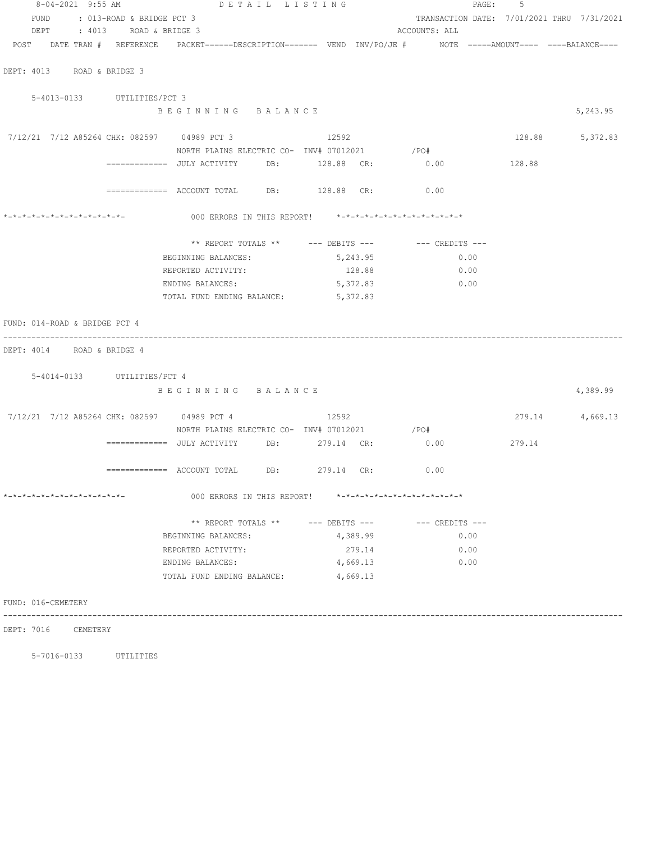| 8-04-2021 9:55 AM              | DETAIL LISTING                                                                                                          |                    |               |                 | PAGE:<br>-5 |                                            |
|--------------------------------|-------------------------------------------------------------------------------------------------------------------------|--------------------|---------------|-----------------|-------------|--------------------------------------------|
| FUND : 013-ROAD & BRIDGE PCT 3 |                                                                                                                         |                    |               |                 |             | TRANSACTION DATE: 7/01/2021 THRU 7/31/2021 |
| DEPT : 4013 ROAD & BRIDGE 3    |                                                                                                                         |                    | ACCOUNTS: ALL |                 |             |                                            |
|                                | POST   DATE TRAN #  REFERENCE   PACKET======DESCRIPTION======= VEND INV/PO/JE #    MOTE =====AMOUNT==== ====BALANCE==== |                    |               |                 |             |                                            |
| DEPT: 4013 ROAD & BRIDGE 3     |                                                                                                                         |                    |               |                 |             |                                            |
| 5-4013-0133 UTILITIES/PCT 3    |                                                                                                                         |                    |               |                 |             |                                            |
|                                | BEGINNING BALANCE                                                                                                       |                    |               |                 |             | 5,243.95                                   |
|                                | 7/12/21 7/12 A85264 CHK: 082597 04989 PCT 3 12592                                                                       |                    |               |                 |             | 128.88 5,372.83                            |
|                                | NORTH PLAINS ELECTRIC CO- INV# 07012021 / PO#                                                                           |                    |               |                 |             |                                            |
|                                |                                                                                                                         |                    |               |                 |             |                                            |
|                                | ============ ACCOUNT TOTAL DB: 128.88 CR: 0.00                                                                          |                    |               |                 |             |                                            |
|                                | 000 ERRORS IN THIS REPORT! *-*-*-*-*-*-*-*-*-*-*-*-*-*-                                                                 |                    |               |                 |             |                                            |
|                                | ** REPORT TOTALS ** $---$ DEBITS --- $---$ CREDITS ---                                                                  |                    |               |                 |             |                                            |
|                                | BEGINNING BALANCES:                                                                                                     | 5,243.95           |               | 0.00            |             |                                            |
|                                | REPORTED ACTIVITY:                                                                                                      | 128.88             |               | 0.00            |             |                                            |
|                                | ENDING BALANCES:                                                                                                        | 5,372.83           |               | $\sim 0.00$     |             |                                            |
|                                | TOTAL FUND ENDING BALANCE: 5,372.83                                                                                     |                    |               |                 |             |                                            |
| FUND: 014-ROAD & BRIDGE PCT 4  |                                                                                                                         |                    |               |                 |             |                                            |
| DEPT: 4014 ROAD & BRIDGE 4     |                                                                                                                         |                    |               |                 |             |                                            |
| 5-4014-0133 UTILITIES/PCT 4    |                                                                                                                         |                    |               |                 |             |                                            |
|                                | BEGINNING BALANCE                                                                                                       |                    |               |                 |             | 4,389.99                                   |
|                                | 7/12/21 7/12 A85264 CHK: 082597 04989 PCT 4 12592                                                                       |                    |               |                 |             | 279.14 4,669.13                            |
|                                | NORTH PLAINS ELECTRIC CO- INV# 07012021 / PO#                                                                           |                    |               |                 |             |                                            |
|                                | =============     JULY  ACTIVITY            DB:                279.14     CR:                    0.00                   |                    |               |                 | 279.14      |                                            |
|                                | ============= ACCOUNT TOTAL DB: 279.14 CR: 0.00                                                                         |                    |               |                 |             |                                            |
| *-*-*-*-*-*-*-*-*-*-*-*-*-*-   | 000 ERRORS IN THIS REPORT! *-*-*-*-*-*-*-*-*-*-*-*-*-*-                                                                 |                    |               |                 |             |                                            |
|                                | ** REPORT TOTALS **                                                                                                     | $---$ DEBITS $---$ |               | --- CREDITS --- |             |                                            |
|                                | BEGINNING BALANCES:                                                                                                     | 4,389.99           |               | 0.00            |             |                                            |
|                                | REPORTED ACTIVITY:                                                                                                      | 279.14             |               | 0.00            |             |                                            |
|                                | ENDING BALANCES:                                                                                                        | 4,669.13           |               | 0.00            |             |                                            |
|                                | TOTAL FUND ENDING BALANCE:                                                                                              | 4,669.13           |               |                 |             |                                            |
| FUND: 016-CEMETERY             |                                                                                                                         |                    |               |                 |             |                                            |
|                                |                                                                                                                         |                    |               |                 |             |                                            |

DEPT: 7016 CEMETERY

5-7016-0133 UTILITIES